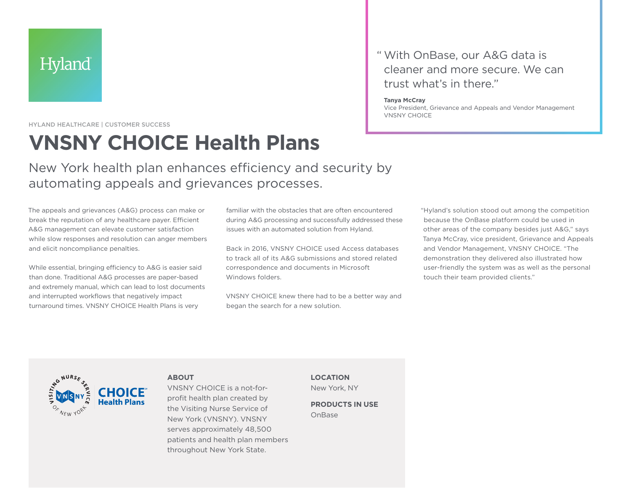HYLAND HEALTHCARE | CUSTOMER SUCCESS

# **VNSNY CHOICE Health Plans**

New York health plan enhances efficiency and security by automating appeals and grievances processes.

The appeals and grievances (A&G) process can make or break the reputation of any healthcare payer. Efficient A&G management can elevate customer satisfaction while slow responses and resolution can anger members and elicit noncompliance penalties.

While essential, bringing efficiency to A&G is easier said than done. Traditional A&G processes are paper-based and extremely manual, which can lead to lost documents and interrupted workflows that negatively impact turnaround times. VNSNY CHOICE Health Plans is very

familiar with the obstacles that are often encountered during A&G processing and successfully addressed these issues with an automated solution from Hyland.

Back in 2016, VNSNY CHOICE used Access databases to track all of its A&G submissions and stored related correspondence and documents in Microsoft Windows folders.

VNSNY CHOICE knew there had to be a better way and began the search for a new solution.

## " With OnBase, our A&G data is cleaner and more secure. We can trust what's in there."

#### **Tanya McCray**

Vice President, Grievance and Appeals and Vendor Management VNSNY CHOICE

> "Hyland's solution stood out among the competition because the OnBase platform could be used in other areas of the company besides just A&G," says Tanya McCray, vice president, Grievance and Appeals and Vendor Management, VNSNY CHOICE. "The demonstration they delivered also illustrated how user-friendly the system was as well as the personal touch their team provided clients."



VNSNY CHOICE is a not-forprofit health plan created by the Visiting Nurse Service of

New York (VNSNY). VNSNY serves approximately 48,500 patients and health plan members throughout New York State.

**ABOUT**

**LOCATION**  New York, NY

**PRODUCTS IN USE** OnBase